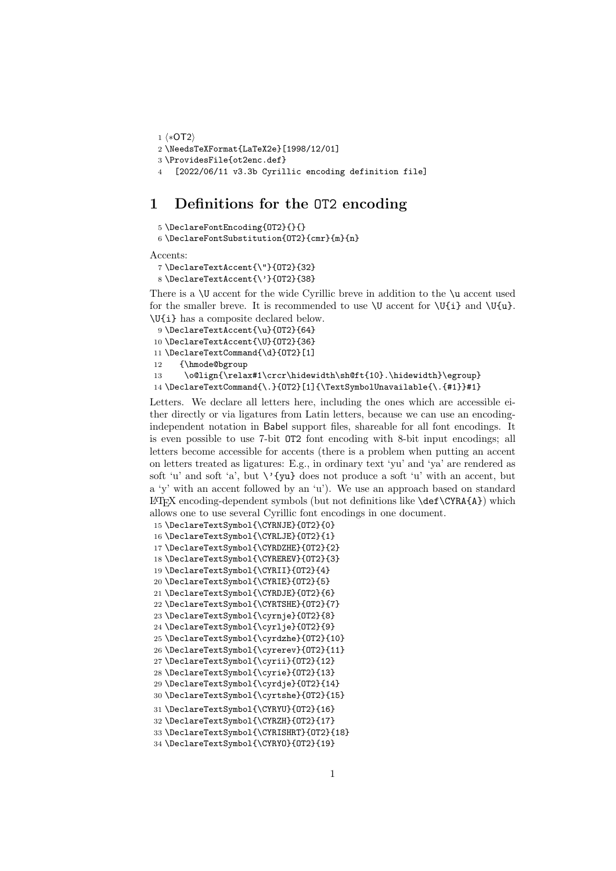```
1 ⟨∗OT2⟩
2 \NeedsTeXFormat{LaTeX2e}[1998/12/01]
3 \ProvidesFile{ot2enc.def}
4 [2022/06/11 v3.3b Cyrillic encoding definition file]
```
## 1 Definitions for the OT2 encoding

```
5 \DeclareFontEncoding{OT2}{}{}
 6 \DeclareFontSubstitution{OT2}{cmr}{m}{n}
Accents:
```

```
7 \DeclareTextAccent{\"}{OT2}{32}
8 \DeclareTextAccent{\'}{OT2}{38}
```
There is a \U accent for the wide Cyrillic breve in addition to the \u accent used for the smaller breve. It is recommended to use  $\mathcal U$  accent for  $\mathcal U{i}$  and  $\mathcal U{u}$ . \U{i} has a composite declared below.

```
9 \DeclareTextAccent{\u}{OT2}{64}
10 \DeclareTextAccent{\U}{OT2}{36}
11 \DeclareTextCommand{\d}{OT2}[1]
12 {\hmode@bgroup
13 \o@lign{\relax#1\crcr\hidewidth\sh@ft{10}.\hidewidth}\egroup}
14 \DeclareTextCommand{\.}{OT2}[1]{\TextSymbolUnavailable{\.{#1}}#1}
```
Letters. We declare all letters here, including the ones which are accessible either directly or via ligatures from Latin letters, because we can use an encodingindependent notation in Babel support files, shareable for all font encodings. It is even possible to use 7-bit OT2 font encoding with 8-bit input encodings; all letters become accessible for accents (there is a problem when putting an accent on letters treated as ligatures: E.g., in ordinary text 'yu' and 'ya' are rendered as soft 'u' and soft 'a', but  $\vee$ '{yu} does not produce a soft 'u' with an accent, but a 'y' with an accent followed by an 'u'). We use an approach based on standard  $\LaTeX$  encoding-dependent symbols (but not definitions like  $\de\C{CYRA{A}}$ ) which allows one to use several Cyrillic font encodings in one document.

```
15 \DeclareTextSymbol{\CYRNJE}{OT2}{0}
16 \DeclareTextSymbol{\CYRLJE}{OT2}{1}
17 \DeclareTextSymbol{\CYRDZHE}{OT2}{2}
18 \DeclareTextSymbol{\CYREREV}{OT2}{3}
19 \DeclareTextSymbol{\CYRII}{OT2}{4}
20 \DeclareTextSymbol{\CYRIE}{OT2}{5}
21 \DeclareTextSymbol{\CYRDJE}{OT2}{6}
22 \DeclareTextSymbol{\CYRTSHE}{OT2}{7}
23 \DeclareTextSymbol{\cyrnje}{OT2}{8}
24 \DeclareTextSymbol{\cyrlje}{OT2}{9}
25 \DeclareTextSymbol{\cyrdzhe}{OT2}{10}
26 \DeclareTextSymbol{\cyrerev}{OT2}{11}
27 \DeclareTextSymbol{\cyrii}{OT2}{12}
28 \DeclareTextSymbol{\cyrie}{OT2}{13}
29 \DeclareTextSymbol{\cyrdje}{OT2}{14}
30 \DeclareTextSymbol{\cyrtshe}{OT2}{15}
31 \DeclareTextSymbol{\CYRYU}{OT2}{16}
32 \DeclareTextSymbol{\CYRZH}{OT2}{17}
33 \DeclareTextSymbol{\CYRISHRT}{OT2}{18}
34 \DeclareTextSymbol{\CYRYO}{OT2}{19}
```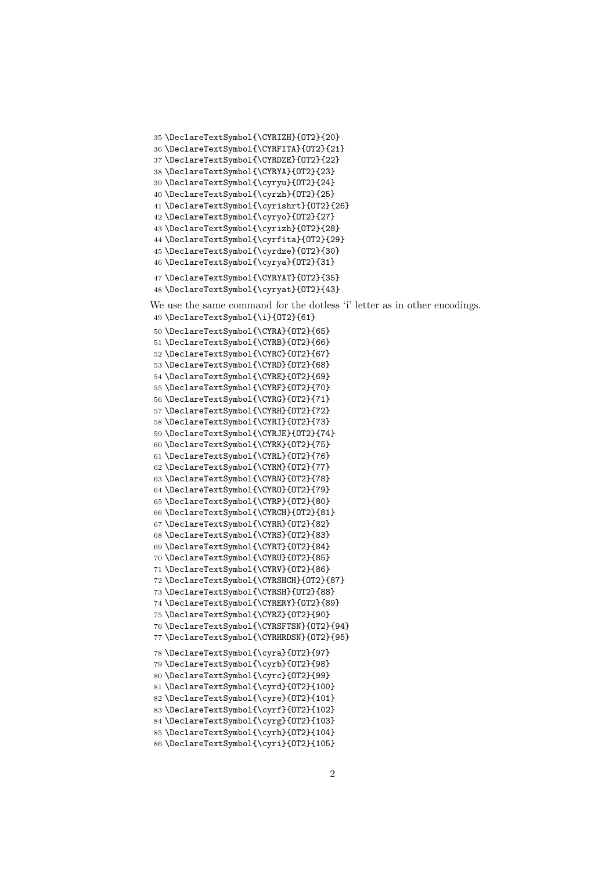```
35 \DeclareTextSymbol{\CYRIZH}{OT2}{20}
36 \DeclareTextSymbol{\CYRFITA}{OT2}{21}
37 \DeclareTextSymbol{\CYRDZE}{OT2}{22}
38 \DeclareTextSymbol{\CYRYA}{OT2}{23}
39 \DeclareTextSymbol{\cyryu}{OT2}{24}
40 \DeclareTextSymbol{\cyrzh}{OT2}{25}
41 \DeclareTextSymbol{\cyrishrt}{OT2}{26}
42 \DeclareTextSymbol{\cyryo}{OT2}{27}
43 \DeclareTextSymbol{\cyrizh}{OT2}{28}
44 \DeclareTextSymbol{\cyrfita}{OT2}{29}
45 \DeclareTextSymbol{\cyrdze}{OT2}{30}
46 \DeclareTextSymbol{\cyrya}{OT2}{31}
47 \DeclareTextSymbol{\CYRYAT}{OT2}{35}
48 \DeclareTextSymbol{\cyryat}{OT2}{43}
We use the same command for the dotless 'i' letter as in other encodings.
49 \DeclareTextSymbol{\i}{OT2}{61}
50 \DeclareTextSymbol{\CYRA}{OT2}{65}
51 \DeclareTextSymbol{\CYRB}{OT2}{66}
52 \DeclareTextSymbol{\CYRC}{OT2}{67}
53 \DeclareTextSymbol{\CYRD}{OT2}{68}
54 \DeclareTextSymbol{\CYRE}{OT2}{69}
55 \DeclareTextSymbol{\CYRF}{OT2}{70}
56 \DeclareTextSymbol{\CYRG}{OT2}{71}
57 \DeclareTextSymbol{\CYRH}{OT2}{72}
58 \DeclareTextSymbol{\CYRI}{OT2}{73}
59 \DeclareTextSymbol{\CYRJE}{OT2}{74}
60 \DeclareTextSymbol{\CYRK}{OT2}{75}
61 \DeclareTextSymbol{\CYRL}{OT2}{76}
62 \DeclareTextSymbol{\CYRM}{OT2}{77}
63 \DeclareTextSymbol{\CYRN}{OT2}{78}
64 \DeclareTextSymbol{\CYRO}{OT2}{79}
65 \DeclareTextSymbol{\CYRP}{OT2}{80}
66 \DeclareTextSymbol{\CYRCH}{OT2}{81}
67 \DeclareTextSymbol{\CYRR}{OT2}{82}
68 \DeclareTextSymbol{\CYRS}{OT2}{83}
69 \DeclareTextSymbol{\CYRT}{OT2}{84}
70 \DeclareTextSymbol{\CYRU}{OT2}{85}
71 \DeclareTextSymbol{\CYRV}{OT2}{86}
72 \DeclareTextSymbol{\CYRSHCH}{OT2}{87}
73 \DeclareTextSymbol{\CYRSH}{OT2}{88}
74 \DeclareTextSymbol{\CYRERY}{OT2}{89}
75 \DeclareTextSymbol{\CYRZ}{OT2}{90}
76 \DeclareTextSymbol{\CYRSFTSN}{OT2}{94}
77 \DeclareTextSymbol{\CYRHRDSN}{OT2}{95}
78 \DeclareTextSymbol{\cyra}{OT2}{97}
79 \DeclareTextSymbol{\cyrb}{OT2}{98}
80 \DeclareTextSymbol{\cyrc}{OT2}{99}
81 \DeclareTextSymbol{\cyrd}{OT2}{100}
82 \DeclareTextSymbol{\cyre}{OT2}{101}
83 \DeclareTextSymbol{\cyrf}{OT2}{102}
84 \DeclareTextSymbol{\cyrg}{OT2}{103}
85 \DeclareTextSymbol{\cyrh}{OT2}{104}
86 \DeclareTextSymbol{\cyri}{OT2}{105}
```